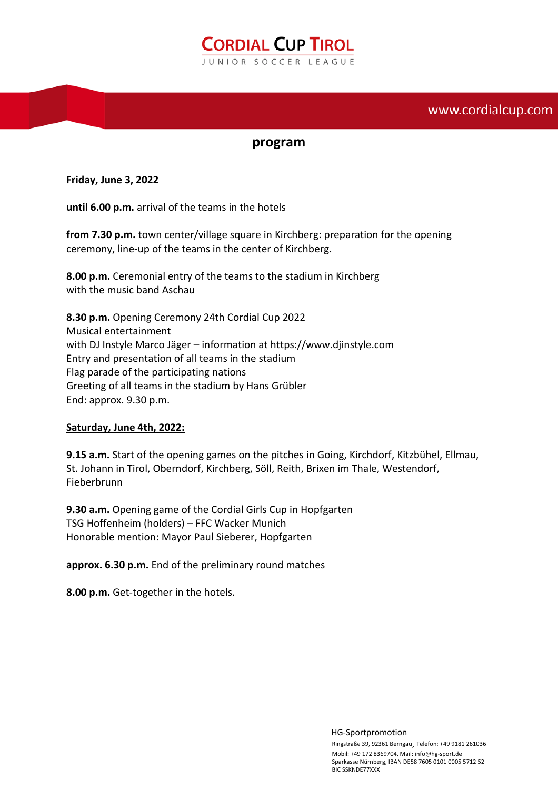# **CORDIAL CUP TIROL** JUNIOR SOCCER LEAGUE

## www.cordialcup.com

### **program**

#### **Friday, June 3, 2022**

**until 6.00 p.m.** arrival of the teams in the hotels

**from 7.30 p.m.** town center/village square in Kirchberg: preparation for the opening ceremony, line-up of the teams in the center of Kirchberg.

**8.00 p.m.** Ceremonial entry of the teams to the stadium in Kirchberg with the music band Aschau

**8.30 p.m.** Opening Ceremony 24th Cordial Cup 2022 Musical entertainment with DJ Instyle Marco Jäger – information at https://www.djinstyle.com Entry and presentation of all teams in the stadium Flag parade of the participating nations Greeting of all teams in the stadium by Hans Grübler End: approx. 9.30 p.m.

#### **Saturday, June 4th, 2022:**

**9.15 a.m.** Start of the opening games on the pitches in Going, Kirchdorf, Kitzbühel, Ellmau, St. Johann in Tirol, Oberndorf, Kirchberg, Söll, Reith, Brixen im Thale, Westendorf, Fieberbrunn

**9.30 a.m.** Opening game of the Cordial Girls Cup in Hopfgarten TSG Hoffenheim (holders) – FFC Wacker Munich Honorable mention: Mayor Paul Sieberer, Hopfgarten

**approx. 6.30 p.m.** End of the preliminary round matches

**8.00 p.m.** Get-together in the hotels.

 HG-Sportpromotion Ringstraße 39, 92361 Berngau, Telefon: +49 9181 261036 Mobil: +49 172 8369704, Mail: info@hg-sport.de Sparkasse Nürnberg, IBAN DE58 7605 0101 0005 5712 52 BIC SSKNDE77XXX